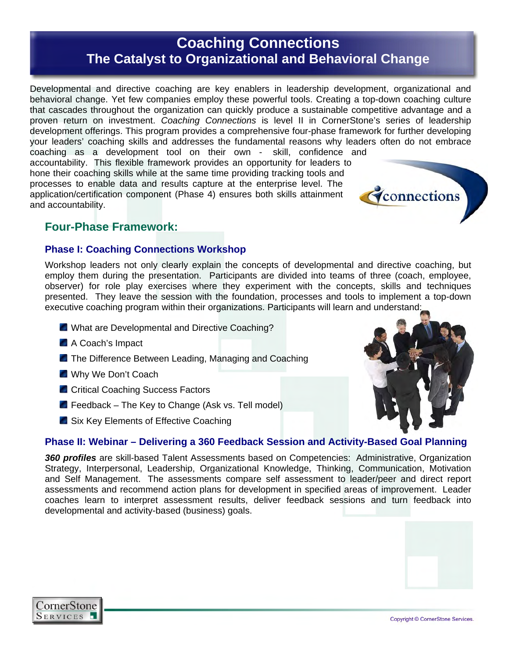# **Coaching Connections The Catalyst to Organizational and Behavioral Change**

Developmental and directive coaching are key enablers in leadership development, organizational and behavioral change. Yet few companies employ these powerful tools. Creating a top-down coaching culture that cascades throughout the organization can quickly produce a sustainable competitive advantage and a proven return on investment. *Coaching Connections* is level II in CornerStone's series of leadership development offerings. This program provides a comprehensive four-phase framework for further developing your leaders' coaching skills and addresses the fundamental reasons why leaders often do not embrace

coaching as a development tool on their own - skill, confidence and accountability. This flexible framework provides an opportunity for leaders to hone their coaching skills while at the same time providing tracking tools and processes to enable data and results capture at the enterprise level. The application/certification component (Phase 4) ensures both skills attainment and accountability.

### **Four-Phase Framework:**

### **Phase I: Coaching Connections Workshop**

Workshop leaders not only clearly explain the concepts of developmental and directive coaching, but employ them during the presentation. Participants are divided into teams of three (coach, employee, observer) for role play exercises where they experiment with the concepts, skills and techniques presented. They leave the session with the foundation, processes and tools to implement a top-down executive coaching program within their organizations. Participants will learn and understand:

- **E** What are Developmental and Directive Coaching?
- A Coach's Impact
- **The Difference Between Leading, Managing and Coaching**
- Why We Don't Coach
- **C** Critical Coaching Success Factors
- $\blacksquare$  Feedback The Key to Change (Ask vs. Tell model)
- **Six Key Elements of Effective Coaching**

### **Phase II: Webinar – Delivering a 360 Feedback Session and Activity-Based Goal Planning**

*360 profiles* are skill-based Talent Assessments based on Competencies: Administrative, Organization Strategy, Interpersonal, Leadership, Organizational Knowledge, Thinking, Communication, Motivation and Self Management. The assessments compare self assessment to leader/peer and direct report assessments and recommend action plans for development in specified areas of improvement. Leader coaches learn to interpret assessment results, deliver feedback sessions and turn feedback into developmental and activity-based (business) goals.



connections